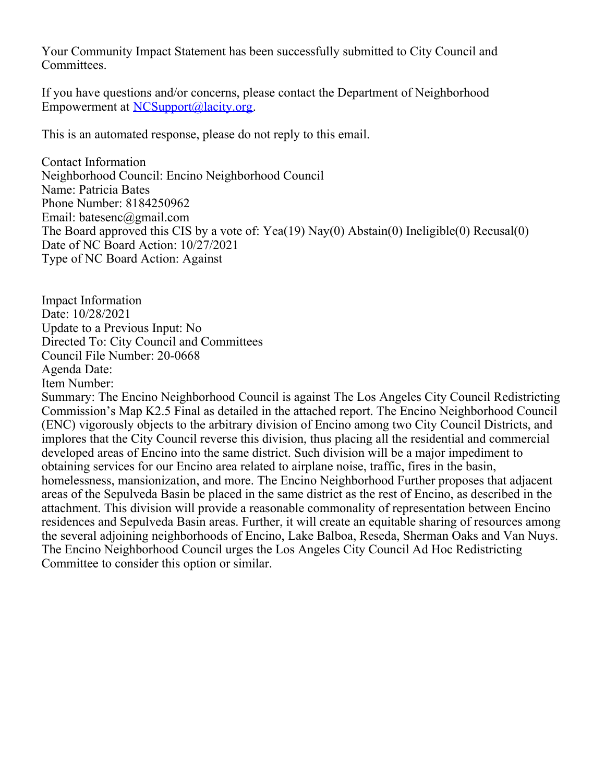Your Community Impact Statement has been successfully submitted to City Council and Committees.

If you have questions and/or concerns, please contact the Department of Neighborhood Empowerment at [NCSupport@lacity.org](mailto:NCSupport@lacity.org).

This is an automated response, please do not reply to this email.

Contact Information Neighborhood Council: Encino Neighborhood Council Name: Patricia Bates Phone Number: 8184250962 Email: batesenc@gmail.com The Board approved this CIS by a vote of: Yea(19) Nay(0) Abstain(0) Ineligible(0) Recusal(0) Date of NC Board Action: 10/27/2021 Type of NC Board Action: Against

Impact Information Date: 10/28/2021 Update to a Previous Input: No Directed To: City Council and Committees Council File Number: 20-0668 Agenda Date: Item Number:

Summary: The Encino Neighborhood Council is against The Los Angeles City Council Redistricting Commission's Map K2.5 Final as detailed in the attached report. The Encino Neighborhood Council (ENC) vigorously objects to the arbitrary division of Encino among two City Council Districts, and implores that the City Council reverse this division, thus placing all the residential and commercial developed areas of Encino into the same district. Such division will be a major impediment to obtaining services for our Encino area related to airplane noise, traffic, fires in the basin, homelessness, mansionization, and more. The Encino Neighborhood Further proposes that adjacent areas of the Sepulveda Basin be placed in the same district as the rest of Encino, as described in the attachment. This division will provide a reasonable commonality of representation between Encino residences and Sepulveda Basin areas. Further, it will create an equitable sharing of resources among the several adjoining neighborhoods of Encino, Lake Balboa, Reseda, Sherman Oaks and Van Nuys. The Encino Neighborhood Council urges the Los Angeles City Council Ad Hoc Redistricting Committee to consider this option or similar.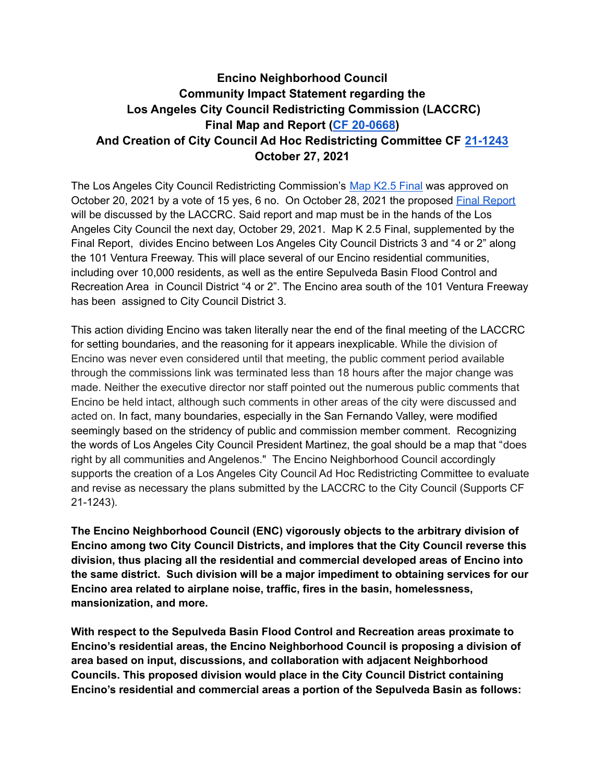## **Encino Neighborhood Council Community Impact Statement regarding the Los Angeles City Council Redistricting Commission (LACCRC) Final Map and Report ([CF 20-0668](https://cityclerk.lacity.org/lacityclerkconnect/index.cfm?fa=ccfi.viewrecord&cfnumber=20-0668)) And Creation of City Council Ad Hoc Redistricting Committee CF [21-1243](https://cityclerk.lacity.org/lacityclerkconnect/index.cfm?fa=ccfi.viewrecord&cfnumber=21-1243) October 27, 2021**

The Los Angeles City Council Redistricting Commission's Map K2.5 [Final](https://laccrc2021.org/wp-content/uploads/2021/10/City-of-LA-Plan-K2.5-Final-1.pdf) was approved on October 20, 2021 by a vote of 15 yes, 6 no. On October 28, 2021 the proposed Final [Report](https://laccrc2021.org/wp-content/uploads/2021/10/Final-Report-Draft-10.26.pdf) will be discussed by the LACCRC. Said report and map must be in the hands of the Los Angeles City Council the next day, October 29, 2021. Map K 2.5 Final, supplemented by the Final Report, divides Encino between Los Angeles City Council Districts 3 and "4 or 2" along the 101 Ventura Freeway. This will place several of our Encino residential communities, including over 10,000 residents, as well as the entire Sepulveda Basin Flood Control and Recreation Area in Council District "4 or 2". The Encino area south of the 101 Ventura Freeway has been assigned to City Council District 3.

This action dividing Encino was taken literally near the end of the final meeting of the LACCRC for setting boundaries, and the reasoning for it appears inexplicable. While the division of Encino was never even considered until that meeting, the public comment period available through the commissions link was terminated less than 18 hours after the major change was made. Neither the executive director nor staff pointed out the numerous public comments that Encino be held intact, although such comments in other areas of the city were discussed and acted on. In fact, many boundaries, especially in the San Fernando Valley, were modified seemingly based on the stridency of public and commission member comment. Recognizing the words of Los Angeles City Council President Martinez, the goal should be a map that "does right by all communities and Angelenos." The Encino Neighborhood Council accordingly supports the creation of a Los Angeles City Council Ad Hoc Redistricting Committee to evaluate and revise as necessary the plans submitted by the LACCRC to the City Council (Supports CF 21-1243).

**The Encino Neighborhood Council (ENC) vigorously objects to the arbitrary division of Encino among two City Council Districts, and implores that the City Council reverse this division, thus placing all the residential and commercial developed areas of Encino into the same district. Such division will be a major impediment to obtaining services for our Encino area related to airplane noise, traffic, fires in the basin, homelessness, mansionization, and more.**

**With respect to the Sepulveda Basin Flood Control and Recreation areas proximate to Encino's residential areas, the Encino Neighborhood Council is proposing a division of area based on input, discussions, and collaboration with adjacent Neighborhood Councils. This proposed division would place in the City Council District containing Encino's residential and commercial areas a portion of the Sepulveda Basin as follows:**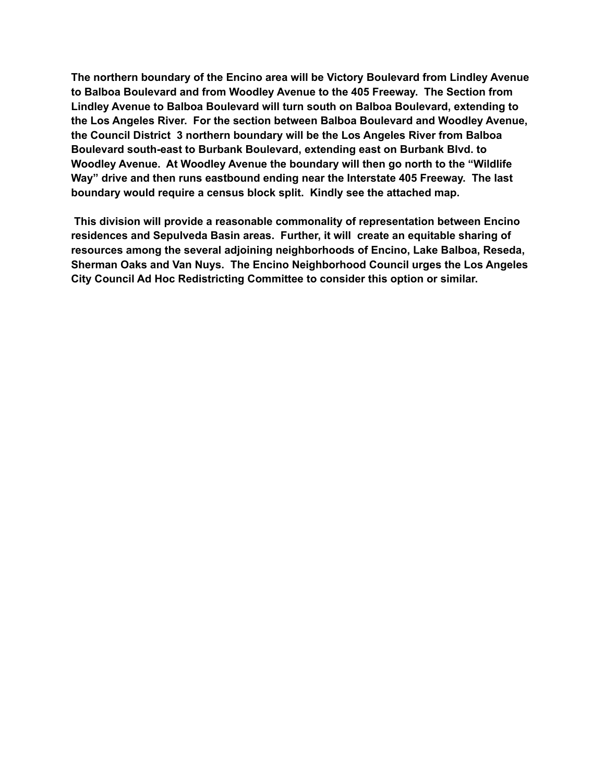**The northern boundary of the Encino area will be Victory Boulevard from Lindley Avenue to Balboa Boulevard and from Woodley Avenue to the 405 Freeway. The Section from Lindley Avenue to Balboa Boulevard will turn south on Balboa Boulevard, extending to the Los Angeles River. For the section between Balboa Boulevard and Woodley Avenue, the Council District 3 northern boundary will be the Los Angeles River from Balboa Boulevard south-east to Burbank Boulevard, extending east on Burbank Blvd. to Woodley Avenue. At Woodley Avenue the boundary will then go north to the "Wildlife Way" drive and then runs eastbound ending near the Interstate 405 Freeway. The last boundary would require a census block split. Kindly see the attached map.**

**This division will provide a reasonable commonality of representation between Encino residences and Sepulveda Basin areas. Further, it will create an equitable sharing of resources among the several adjoining neighborhoods of Encino, Lake Balboa, Reseda, Sherman Oaks and Van Nuys. The Encino Neighborhood Council urges the Los Angeles City Council Ad Hoc Redistricting Committee to consider this option or similar.**